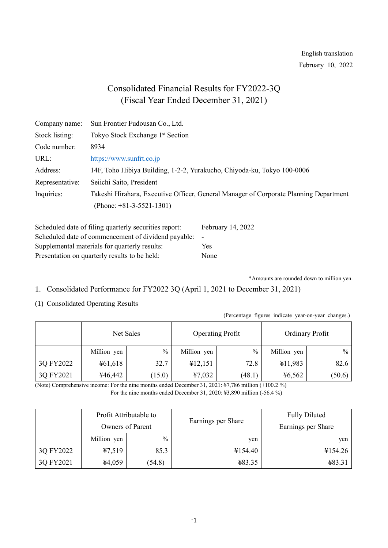## English translation February 10, 2022

# Consolidated Financial Results for FY2022-3Q (Fiscal Year Ended December 31, 2021)

| Company name:   | Sun Frontier Fudousan Co., Ltd.                                                       |
|-----------------|---------------------------------------------------------------------------------------|
| Stock listing:  | Tokyo Stock Exchange 1 <sup>st</sup> Section                                          |
| Code number:    | 8934                                                                                  |
| URL:            | https://www.sunfrt.co.jp                                                              |
| Address:        | 14F, Toho Hibiya Building, 1-2-2, Yurakucho, Chiyoda-ku, Tokyo 100-0006               |
| Representative: | Seiichi Saito, President                                                              |
| Inquiries:      | Takeshi Hirahara, Executive Officer, General Manager of Corporate Planning Department |
|                 | (Phone: $+81-3-5521-1301$ )                                                           |

| Scheduled date of filing quarterly securities report: | February 14, 2022 |
|-------------------------------------------------------|-------------------|
| Scheduled date of commencement of dividend payable: - |                   |
| Supplemental materials for quarterly results:         | Yes               |
| Presentation on quarterly results to be held:         | None              |

\*Amounts are rounded down to million yen.

- 1. Consolidated Performance for FY2022 3Q (April 1, 2021 to December 31, 2021)
- (1) Consolidated Operating Results

|  | (Percentage figures indicate year-on-year changes.) |  |
|--|-----------------------------------------------------|--|
|  |                                                     |  |

|           |             | Net Sales | <b>Operating Profit</b> |        | Ordinary Profit |        |
|-----------|-------------|-----------|-------------------------|--------|-----------------|--------|
|           | Million yen | $\%$      | Million yen             | $\%$   | Million yen     | $\%$   |
| 3Q FY2022 | 461,618     | 32.7      | ¥12,151                 | 72.8   | ¥11,983         | 82.6   |
| 3Q FY2021 | ¥46,442     | (15.0)    | 47,032                  | (48.1) | 46,562          | (50.6) |

(Note) Comprehensive income: For the nine months ended December 31, 2021: ¥7,786 million (+100.2 %)

For the nine months ended December 31, 2020: ¥3,890 million (-56.4 %)

|           |             | Profit Attributable to  |                    | <b>Fully Diluted</b> |
|-----------|-------------|-------------------------|--------------------|----------------------|
|           |             | <b>Owners of Parent</b> | Earnings per Share | Earnings per Share   |
|           | Million yen | $\%$                    | yen                | yen                  |
| 3Q FY2022 | 47,519      | 85.3                    | ¥154.40            | ¥154.26              |
| 3Q FY2021 | ¥4,059      | (54.8)                  | ¥83.35             | ¥83.31               |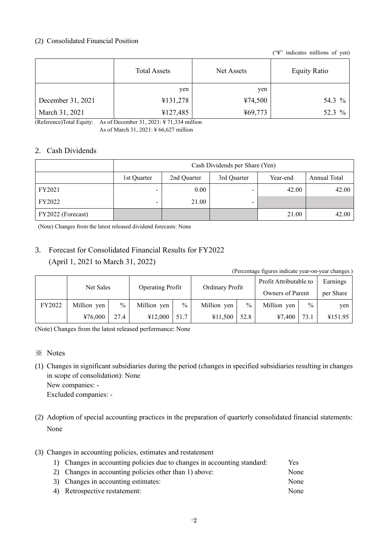## (2) Consolidated Financial Position

("¥" indicates millions of yen)

|                   | <b>Total Assets</b> | Net Assets | <b>Equity Ratio</b> |  |
|-------------------|---------------------|------------|---------------------|--|
|                   | yen                 | yen        |                     |  |
| December 31, 2021 | ¥131,278            | ¥74,500    | 54.3 %              |  |
| March 31, 2021    | ¥127,485            | ¥69,773    | 52.3 %              |  |

(Reference)Total Equity: As of December 31, 2021: ¥ 71,334 million As of March 31, 2021: ¥ 66,627 million

## 2. Cash Dividends

|                   | Cash Dividends per Share (Yen) |             |          |              |       |  |
|-------------------|--------------------------------|-------------|----------|--------------|-------|--|
|                   | 1st Quarter                    | 2nd Quarter | Year-end | Annual Total |       |  |
| FY2021            |                                | 0.00        |          | 42.00        | 42.00 |  |
| FY2022            | $\overline{\phantom{0}}$       | 21.00       | -        |              |       |  |
| FY2022 (Forecast) |                                |             |          | 21.00        | 42.00 |  |

(Note) Changes from the latest released dividend forecasts: None

## 3. Forecast for Consolidated Financial Results for FY2022 (April 1, 2021 to March 31, 2022)

(Percentage figures indicate year-on-year changes.)

|        | Net Sales   |      |             | <b>Operating Profit</b> |             | Ordinary Profit |                  | Profit Attributable to | Earnings  |
|--------|-------------|------|-------------|-------------------------|-------------|-----------------|------------------|------------------------|-----------|
|        |             |      |             |                         |             |                 | Owners of Parent |                        | per Share |
| FY2022 | Million yen | $\%$ | Million yen | $\%$                    | Million yen | $\%$            | Million yen      | $\frac{0}{0}$          | yen       |
|        | 476,000     | 27.4 | ¥12,000     | 51.7                    | ¥11.500     | 52.8            | 47.400           | 73.1                   | ¥151.95   |

(Note) Changes from the latest released performance: None

- ※ Notes
- (1) Changes in significant subsidiaries during the period (changes in specified subsidiaries resulting in changes in scope of consolidation): None New companies: -

Excluded companies: -

(2) Adoption of special accounting practices in the preparation of quarterly consolidated financial statements: None

## (3) Changes in accounting policies, estimates and restatement

| 1) Changes in accounting policies due to changes in accounting standard: | Yes  |
|--------------------------------------------------------------------------|------|
| 2) Changes in accounting policies other than 1) above:                   | None |
| 3) Changes in accounting estimates:                                      | None |
| 4) Retrospective restatement:                                            | None |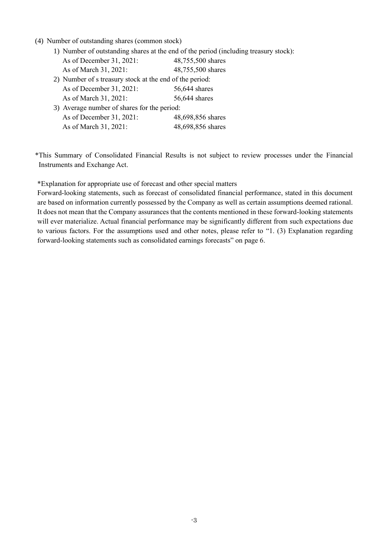- (4) Number of outstanding shares (common stock)
	- 1) Number of outstanding shares at the end of the period (including treasury stock):

| As of December 31, 2021: | 48,755,500 shares |
|--------------------------|-------------------|
| As of March 31, 2021:    | 48,755,500 shares |

- 2) Number of s treasury stock at the end of the period: As of December 31, 2021: 56,644 shares As of March 31, 2021: 56,644 shares
- 3) Average number of shares for the period: As of December 31, 2021: 48,698,856 shares As of March 31, 2021: 48,698,856 shares

\*This Summary of Consolidated Financial Results is not subject to review processes under the Financial Instruments and Exchange Act.

\*Explanation for appropriate use of forecast and other special matters

Forward-looking statements, such as forecast of consolidated financial performance, stated in this document are based on information currently possessed by the Company as well as certain assumptions deemed rational. It does not mean that the Company assurances that the contents mentioned in these forward-looking statements will ever materialize. Actual financial performance may be significantly different from such expectations due to various factors. For the assumptions used and other notes, please refer to "1. (3) Explanation regarding forward-looking statements such as consolidated earnings forecasts" on page 6.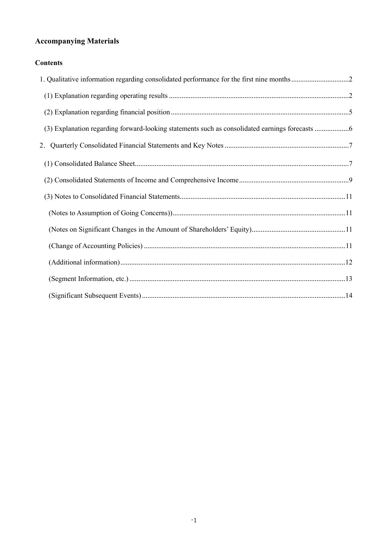# **Accompanying Materials**

## **Contents**

| (3) Explanation regarding forward-looking statements such as consolidated earnings forecasts 6 |  |
|------------------------------------------------------------------------------------------------|--|
|                                                                                                |  |
|                                                                                                |  |
|                                                                                                |  |
|                                                                                                |  |
|                                                                                                |  |
|                                                                                                |  |
|                                                                                                |  |
|                                                                                                |  |
|                                                                                                |  |
|                                                                                                |  |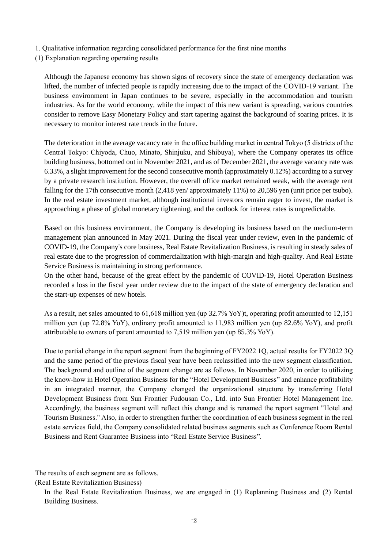- <span id="page-4-0"></span>1. Qualitative information regarding consolidated performance for the first nine months
- <span id="page-4-1"></span>(1) Explanation regarding operating results

Although the Japanese economy has shown signs of recovery since the state of emergency declaration was lifted, the number of infected people is rapidly increasing due to the impact of the COVID-19 variant. The business environment in Japan continues to be severe, especially in the accommodation and tourism industries. As for the world economy, while the impact of this new variant is spreading, various countries consider to remove Easy Monetary Policy and start tapering against the background of soaring prices. It is necessary to monitor interest rate trends in the future.

The deterioration in the average vacancy rate in the office building market in central Tokyo (5 districts of the Central Tokyo: Chiyoda, Chuo, Minato, Shinjuku, and Shibuya), where the Company operates its office building business, bottomed out in November 2021, and as of December 2021, the average vacancy rate was 6.33%, a slight improvement for the second consecutive month (approximately 0.12%) according to a survey by a private research institution. However, the overall office market remained weak, with the average rent falling for the 17th consecutive month (2,418 yen/ approximately 11%) to 20,596 yen (unit price per tsubo). In the real estate investment market, although institutional investors remain eager to invest, the market is approaching a phase of global monetary tightening, and the outlook for interest rates is unpredictable.

Based on this business environment, the Company is developing its business based on the medium-term management plan announced in May 2021. During the fiscal year under review, even in the pandemic of COVID-19, the Company's core business, Real Estate Revitalization Business, is resulting in steady sales of real estate due to the progression of commercialization with high-margin and high-quality. And Real Estate Service Business is maintaining in strong performance.

On the other hand, because of the great effect by the pandemic of COVID-19, Hotel Operation Business recorded a loss in the fiscal year under review due to the impact of the state of emergency declaration and the start-up expenses of new hotels.

As a result, net sales amounted to 61,618 million yen (up 32.7% YoY)t, operating profit amounted to 12,151 million yen (up 72.8% YoY), ordinary profit amounted to 11,983 million yen (up 82.6% YoY), and profit attributable to owners of parent amounted to 7,519 million yen (up 85.3% YoY).

Due to partial change in the report segment from the beginning of FY2022 1Q, actual results for FY2022 3Q and the same period of the previous fiscal year have been reclassified into the new segment classification. The background and outline of the segment change are as follows. In November 2020, in order to utilizing the know-how in Hotel Operation Business for the "Hotel Development Business" and enhance profitability in an integrated manner, the Company changed the organizational structure by transferring Hotel Development Business from Sun Frontier Fudousan Co., Ltd. into Sun Frontier Hotel Management Inc. Accordingly, the business segment will reflect this change and is renamed the report segment "Hotel and Tourism Business." Also, in order to strengthen further the coordination of each business segment in the real estate services field, the Company consolidated related business segments such as Conference Room Rental Business and Rent Guarantee Business into "Real Estate Service Business".

The results of each segment are as follows.

(Real Estate Revitalization Business)

In the Real Estate Revitalization Business, we are engaged in (1) Replanning Business and (2) Rental Building Business.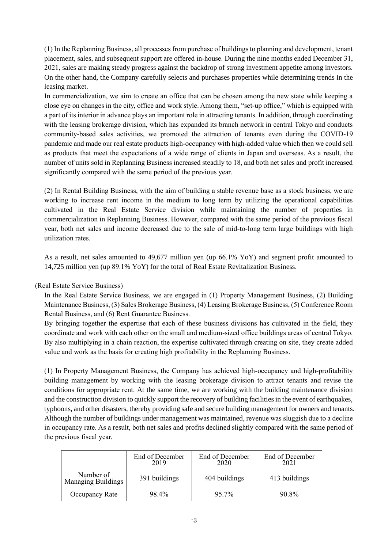(1) In the Replanning Business, all processes from purchase of buildings to planning and development, tenant placement, sales, and subsequent support are offered in-house. During the nine months ended December 31, 2021, sales are making steady progress against the backdrop of strong investment appetite among investors. On the other hand, the Company carefully selects and purchases properties while determining trends in the leasing market.

In commercialization, we aim to create an office that can be chosen among the new state while keeping a close eye on changes in the city, office and work style. Among them, "set-up office," which is equipped with a part of its interior in advance plays an important role in attracting tenants. In addition, through coordinating with the leasing brokerage division, which has expanded its branch network in central Tokyo and conducts community-based sales activities, we promoted the attraction of tenants even during the COVID-19 pandemic and made our real estate products high-occupancy with high-added value which then we could sell as products that meet the expectations of a wide range of clients in Japan and overseas. As a result, the number of units sold in Replanning Business increased steadily to 18, and both net sales and profit increased significantly compared with the same period of the previous year.

(2) In Rental Building Business, with the aim of building a stable revenue base as a stock business, we are working to increase rent income in the medium to long term by utilizing the operational capabilities cultivated in the Real Estate Service division while maintaining the number of properties in commercialization in Replanning Business. However, compared with the same period of the previous fiscal year, both net sales and income decreased due to the sale of mid-to-long term large buildings with high utilization rates.

As a result, net sales amounted to 49,677 million yen (up 66.1% YoY) and segment profit amounted to 14,725 million yen (up 89.1% YoY) for the total of Real Estate Revitalization Business.

(Real Estate Service Business)

In the Real Estate Service Business, we are engaged in (1) Property Management Business, (2) Building Maintenance Business, (3) Sales Brokerage Business, (4) Leasing Brokerage Business, (5) Conference Room Rental Business, and (6) Rent Guarantee Business.

By bringing together the expertise that each of these business divisions has cultivated in the field, they coordinate and work with each other on the small and medium-sized office buildings areas of central Tokyo. By also multiplying in a chain reaction, the expertise cultivated through creating on site, they create added value and work as the basis for creating high profitability in the Replanning Business.

(1) In Property Management Business, the Company has achieved high-occupancy and high-profitability building management by working with the leasing brokerage division to attract tenants and revise the conditions for appropriate rent. At the same time, we are working with the building maintenance division and the construction division to quickly support the recovery of building facilities in the event of earthquakes, typhoons, and other disasters, thereby providing safe and secure building management for owners and tenants. Although the number of buildings under management was maintained, revenue was sluggish due to a decline in occupancy rate. As a result, both net sales and profits declined slightly compared with the same period of the previous fiscal year.

|                                        | End of December<br>2019 | End of December<br>2020 | End of December<br>2021 |
|----------------------------------------|-------------------------|-------------------------|-------------------------|
| Number of<br><b>Managing Buildings</b> | 391 buildings           | 404 buildings           | 413 buildings           |
| Occupancy Rate                         | 98.4%                   | 95.7%                   | 90.8%                   |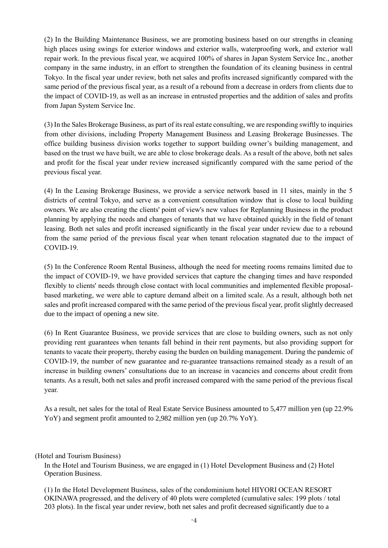(2) In the Building Maintenance Business, we are promoting business based on our strengths in cleaning high places using swings for exterior windows and exterior walls, waterproofing work, and exterior wall repair work. In the previous fiscal year, we acquired 100% of shares in Japan System Service Inc., another company in the same industry, in an effort to strengthen the foundation of its cleaning business in central Tokyo. In the fiscal year under review, both net sales and profits increased significantly compared with the same period of the previous fiscal year, as a result of a rebound from a decrease in orders from clients due to the impact of COVID-19, as well as an increase in entrusted properties and the addition of sales and profits from Japan System Service Inc.

(3) In the Sales Brokerage Business, as part of its real estate consulting, we are responding swiftly to inquiries from other divisions, including Property Management Business and Leasing Brokerage Businesses. The office building business division works together to support building owner's building management, and based on the trust we have built, we are able to close brokerage deals. As a result of the above, both net sales and profit for the fiscal year under review increased significantly compared with the same period of the previous fiscal year.

(4) In the Leasing Brokerage Business, we provide a service network based in 11 sites, mainly in the 5 districts of central Tokyo, and serve as a convenient consultation window that is close to local building owners. We are also creating the clients' point of view's new values for Replanning Business in the product planning by applying the needs and changes of tenants that we have obtained quickly in the field of tenant leasing. Both net sales and profit increased significantly in the fiscal year under review due to a rebound from the same period of the previous fiscal year when tenant relocation stagnated due to the impact of COVID-19.

(5) In the Conference Room Rental Business, although the need for meeting rooms remains limited due to the impact of COVID-19, we have provided services that capture the changing times and have responded flexibly to clients' needs through close contact with local communities and implemented flexible proposalbased marketing, we were able to capture demand albeit on a limited scale. As a result, although both net sales and profit increased compared with the same period of the previous fiscal year, profit slightly decreased due to the impact of opening a new site.

(6) In Rent Guarantee Business, we provide services that are close to building owners, such as not only providing rent guarantees when tenants fall behind in their rent payments, but also providing support for tenants to vacate their property, thereby easing the burden on building management. During the pandemic of COVID-19, the number of new guarantee and re-guarantee transactions remained steady as a result of an increase in building owners' consultations due to an increase in vacancies and concerns about credit from tenants. As a result, both net sales and profit increased compared with the same period of the previous fiscal year.

As a result, net sales for the total of Real Estate Service Business amounted to 5,477 million yen (up 22.9% YoY) and segment profit amounted to 2,982 million yen (up 20.7% YoY).

(Hotel and Tourism Business)

In the Hotel and Tourism Business, we are engaged in (1) Hotel Development Business and (2) Hotel Operation Business.

(1) In the Hotel Development Business, sales of the condominium hotel HIYORI OCEAN RESORT OKINAWA progressed, and the delivery of 40 plots were completed (cumulative sales: 199 plots / total 203 plots). In the fiscal year under review, both net sales and profit decreased significantly due to a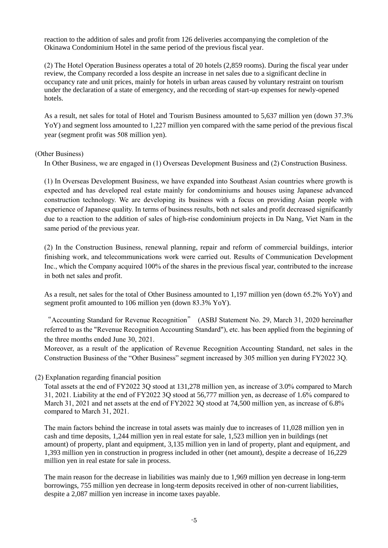reaction to the addition of sales and profit from 126 deliveries accompanying the completion of the Okinawa Condominium Hotel in the same period of the previous fiscal year.

(2) The Hotel Operation Business operates a total of 20 hotels (2,859 rooms). During the fiscal year under review, the Company recorded a loss despite an increase in net sales due to a significant decline in occupancy rate and unit prices, mainly for hotels in urban areas caused by voluntary restraint on tourism under the declaration of a state of emergency, and the recording of start-up expenses for newly-opened hotels.

As a result, net sales for total of Hotel and Tourism Business amounted to 5,637 million yen (down 37.3% YoY) and segment loss amounted to 1,227 million yen compared with the same period of the previous fiscal year (segment profit was 508 million yen).

## (Other Business)

In Other Business, we are engaged in (1) Overseas Development Business and (2) Construction Business.

(1) In Overseas Development Business, we have expanded into Southeast Asian countries where growth is expected and has developed real estate mainly for condominiums and houses using Japanese advanced construction technology. We are developing its business with a focus on providing Asian people with experience of Japanese quality. In terms of business results, both net sales and profit decreased significantly due to a reaction to the addition of sales of high-rise condominium projects in Da Nang, Viet Nam in the same period of the previous year.

(2) In the Construction Business, renewal planning, repair and reform of commercial buildings, interior finishing work, and telecommunications work were carried out. Results of Communication Development Inc., which the Company acquired 100% of the shares in the previous fiscal year, contributed to the increase in both net sales and profit.

As a result, net sales for the total of Other Business amounted to 1,197 million yen (down 65.2% YoY) and segment profit amounted to 106 million yen (down 83.3% YoY).

"Accounting Standard for Revenue Recognition" (ASBJ Statement No. 29, March 31, 2020 hereinafter referred to as the "Revenue Recognition Accounting Standard"), etc. has been applied from the beginning of the three months ended June 30, 2021.

Moreover, as a result of the application of Revenue Recognition Accounting Standard, net sales in the Construction Business of the "Other Business" segment increased by 305 million yen during FY2022 3Q.

## <span id="page-7-0"></span>(2) Explanation regarding financial position

Total assets at the end of FY2022 3Q stood at 131,278 million yen, as increase of 3.0% compared to March 31, 2021. Liability at the end of FY2022 3Q stood at 56,777 million yen, as decrease of 1.6% compared to March 31, 2021 and net assets at the end of FY2022 3Q stood at 74,500 million yen, as increase of 6.8% compared to March 31, 2021.

The main factors behind the increase in total assets was mainly due to increases of 11,028 million yen in cash and time deposits, 1,244 million yen in real estate for sale, 1,523 million yen in buildings (net amount) of property, plant and equipment, 3,135 million yen in land of property, plant and equipment, and 1,393 million yen in construction in progress included in other (net amount), despite a decrease of 16,229 million yen in real estate for sale in process.

The main reason for the decrease in liabilities was mainly due to 1,969 million yen decrease in long-term borrowings, 755 million yen decrease in long-term deposits received in other of non-current liabilities, despite a 2,087 million yen increase in income taxes payable.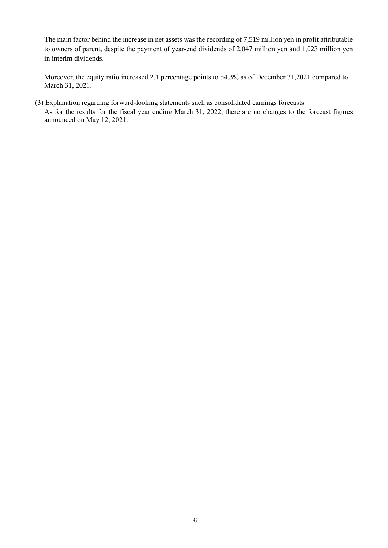The main factor behind the increase in net assets was the recording of 7,519 million yen in profit attributable to owners of parent, despite the payment of year-end dividends of 2,047 million yen and 1,023 million yen in interim dividends.

Moreover, the equity ratio increased 2.1 percentage points to 54.3% as of December 31,2021 compared to March 31, 2021.

<span id="page-8-0"></span>(3) Explanation regarding forward-looking statements such as consolidated earnings forecasts As for the results for the fiscal year ending March 31, 2022, there are no changes to the forecast figures announced on May 12, 2021.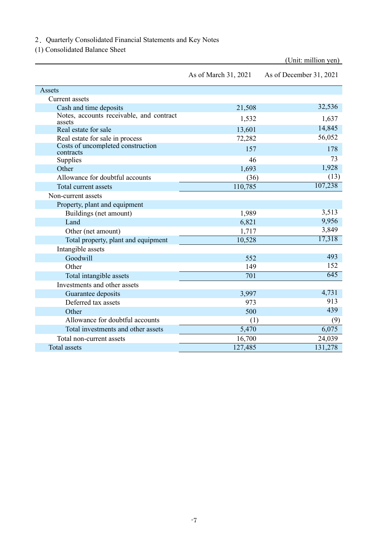## <span id="page-9-0"></span>2. Quarterly Consolidated Financial Statements and Key Notes

<span id="page-9-1"></span>(1) Consolidated Balance Sheet

|                                                    | As of March 31, 2021 | As of December 31, 2021 |
|----------------------------------------------------|----------------------|-------------------------|
| Assets                                             |                      |                         |
| <b>Current</b> assets                              |                      |                         |
| Cash and time deposits                             | 21,508               | 32,536                  |
| Notes, accounts receivable, and contract<br>assets | 1,532                | 1,637                   |
| Real estate for sale                               | 13,601               | 14,845                  |
| Real estate for sale in process                    | 72,282               | 56,052                  |
| Costs of uncompleted construction<br>contracts     | 157                  | 178                     |
| Supplies                                           | 46                   | 73                      |
| Other                                              | 1,693                | 1,928                   |
| Allowance for doubtful accounts                    | (36)                 | (13)                    |
| Total current assets                               | 110,785              | 107,238                 |
| Non-current assets                                 |                      |                         |
| Property, plant and equipment                      |                      |                         |
| Buildings (net amount)                             | 1,989                | 3,513                   |
| Land                                               | 6,821                | 9,956                   |
| Other (net amount)                                 | 1,717                | 3,849                   |
| Total property, plant and equipment                | 10,528               | 17,318                  |
| Intangible assets                                  |                      |                         |
| Goodwill                                           | 552                  | 493                     |
| Other                                              | 149                  | 152                     |
| Total intangible assets                            | 701                  | 645                     |
| Investments and other assets                       |                      |                         |
| Guarantee deposits                                 | 3,997                | 4,731                   |
| Deferred tax assets                                | 973                  | 913                     |
| Other                                              | 500                  | 439                     |
| Allowance for doubtful accounts                    | (1)                  | (9)                     |
| Total investments and other assets                 | 5,470                | 6,075                   |
| Total non-current assets                           | 16,700               | 24,039                  |
| <b>Total</b> assets                                | 127,485              | 131,278                 |

(Unit: million yen)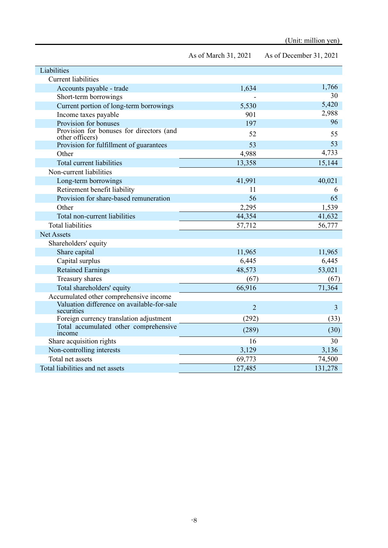| Liabilities                                                 |                |                |
|-------------------------------------------------------------|----------------|----------------|
| <b>Current liabilities</b>                                  |                |                |
| Accounts payable - trade                                    | 1,634          | 1,766          |
| Short-term borrowings                                       |                | 30             |
| Current portion of long-term borrowings                     | 5,530          | 5,420          |
| Income taxes payable                                        | 901            | 2,988          |
| Provision for bonuses                                       | 197            | 96             |
| Provision for bonuses for directors (and<br>other officers) | 52             | 55             |
| Provision for fulfillment of guarantees                     | 53             | 53             |
| Other                                                       | 4,988          | 4,733          |
| Total current liabilities                                   | 13,358         | 15,144         |
| Non-current liabilities                                     |                |                |
| Long-term borrowings                                        | 41,991         | 40,021         |
| Retirement benefit liability                                | 11             | 6              |
| Provision for share-based remuneration                      | 56             | 65             |
| Other                                                       | 2,295          | 1,539          |
| Total non-current liabilities                               | 44,354         | 41,632         |
| <b>Total liabilities</b>                                    | 57,712         | 56,777         |
| Net Assets                                                  |                |                |
| Shareholders' equity                                        |                |                |
| Share capital                                               | 11,965         | 11,965         |
| Capital surplus                                             | 6,445          | 6,445          |
| <b>Retained Earnings</b>                                    | 48,573         | 53,021         |
| Treasury shares                                             | (67)           | (67)           |
| Total shareholders' equity                                  | 66,916         | 71,364         |
| Accumulated other comprehensive income                      |                |                |
| Valuation difference on available-for-sale<br>securities    | $\overline{2}$ | $\overline{3}$ |
| Foreign currency translation adjustment                     | (292)          | (33)           |
| Total accumulated other comprehensive<br>income             | (289)          | (30)           |
| Share acquisition rights                                    | 16             | 30             |
| Non-controlling interests                                   | 3,129          | 3,136          |
| Total net assets                                            | 69,773         | 74,500         |
| Total liabilities and net assets                            | 127,485        | 131,278        |

As of March 31, 2021 As of December 31, 2021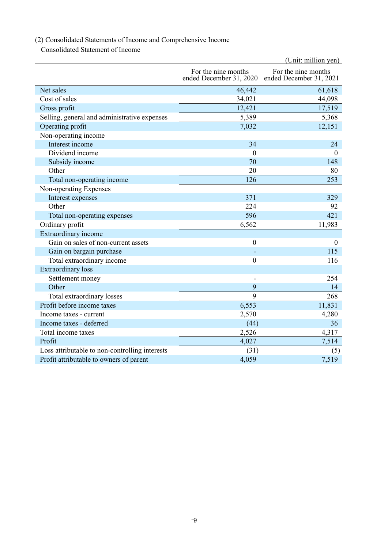## <span id="page-11-0"></span>(2) Consolidated Statements of Income and Comprehensive Income

Consolidated Statement of Income

|                                                |                                                | (Unit: million yen)                            |
|------------------------------------------------|------------------------------------------------|------------------------------------------------|
|                                                | For the nine months<br>ended December 31, 2020 | For the nine months<br>ended December 31, 2021 |
| Net sales                                      | 46,442                                         | 61,618                                         |
| Cost of sales                                  | 34,021                                         | 44,098                                         |
| Gross profit                                   | 12,421                                         | 17,519                                         |
| Selling, general and administrative expenses   | 5,389                                          | 5,368                                          |
| Operating profit                               | 7,032                                          | 12,151                                         |
| Non-operating income                           |                                                |                                                |
| Interest income                                | 34                                             | 24                                             |
| Dividend income                                | $\boldsymbol{0}$                               | $\boldsymbol{0}$                               |
| Subsidy income                                 | 70                                             | 148                                            |
| Other                                          | 20                                             | 80                                             |
| Total non-operating income                     | 126                                            | 253                                            |
| Non-operating Expenses                         |                                                |                                                |
| Interest expenses                              | 371                                            | 329                                            |
| Other                                          | 224                                            | 92                                             |
| Total non-operating expenses                   | 596                                            | 421                                            |
| Ordinary profit                                | 6,562                                          | 11,983                                         |
| <b>Extraordinary</b> income                    |                                                |                                                |
| Gain on sales of non-current assets            | $\boldsymbol{0}$                               | $\boldsymbol{0}$                               |
| Gain on bargain purchase                       |                                                | 115                                            |
| Total extraordinary income                     | $\boldsymbol{0}$                               | 116                                            |
| <b>Extraordinary</b> loss                      |                                                |                                                |
| Settlement money                               |                                                | 254                                            |
| Other                                          | 9                                              | 14                                             |
| Total extraordinary losses                     | 9                                              | 268                                            |
| Profit before income taxes                     | 6,553                                          | 11,831                                         |
| Income taxes - current                         | 2,570                                          | 4,280                                          |
| Income taxes - deferred                        | (44)                                           | 36                                             |
| Total income taxes                             | 2,526                                          | 4,317                                          |
| Profit                                         | 4,027                                          | 7,514                                          |
| Loss attributable to non-controlling interests | (31)                                           | (5)                                            |
| Profit attributable to owners of parent        | 4,059                                          | 7,519                                          |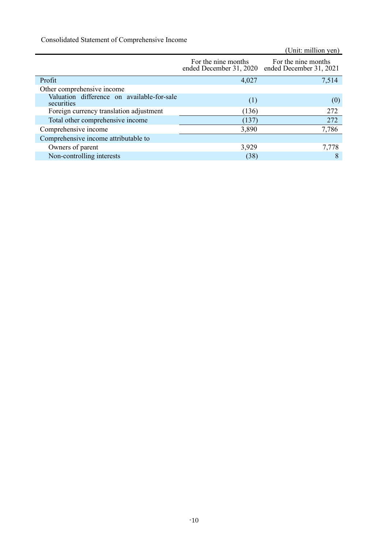Consolidated Statement of Comprehensive Income

|                                                          |                                                | (Unit: million yen)                            |
|----------------------------------------------------------|------------------------------------------------|------------------------------------------------|
|                                                          | For the nine months<br>ended December 31, 2020 | For the nine months<br>ended December 31, 2021 |
| Profit                                                   | 4,027                                          | 7,514                                          |
| Other comprehensive income                               |                                                |                                                |
| Valuation difference on available-for-sale<br>securities | (1)                                            | (0)                                            |
| Foreign currency translation adjustment                  | (136)                                          | 272                                            |
| Total other comprehensive income                         | (137)                                          | 272                                            |
| Comprehensive income                                     | 3,890                                          | 7,786                                          |
| Comprehensive income attributable to                     |                                                |                                                |
| Owners of parent                                         | 3,929                                          | 7,778                                          |
| Non-controlling interests                                | (38)                                           | 8                                              |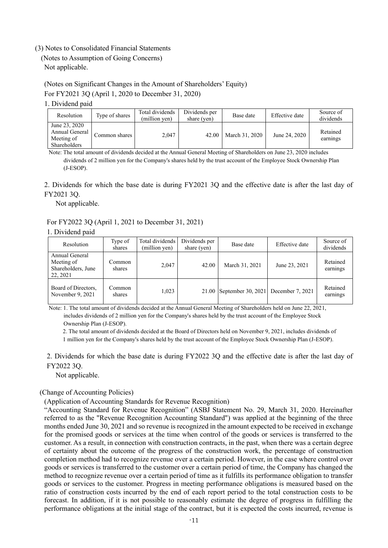#### <span id="page-13-0"></span>(3) Notes to Consolidated Financial Statements

<span id="page-13-1"></span>(Notes to Assumption of Going Concerns) Not applicable.

## <span id="page-13-2"></span>(Notes on Significant Changes in the Amount of Shareholders' Equity)

For FY2021 3Q (April 1, 2020 to December 31, 2020)

## 1. Dividend paid

| Resolution                                                           | Type of shares | Total dividends<br>(million ven) | Dividends per<br>share (yen) | Base date      | Effective date | Source of<br>dividends |
|----------------------------------------------------------------------|----------------|----------------------------------|------------------------------|----------------|----------------|------------------------|
| June 23, 2020<br>Annual General<br>Meeting of<br><b>Shareholders</b> | Common shares  | 2.047                            | 42.00                        | March 31, 2020 | June 24, 2020  | Retained<br>earnings   |

Note: The total amount of dividends decided at the Annual General Meeting of Shareholders on June 23, 2020 includes dividends of 2 million yen for the Company's shares held by the trust account of the Employee Stock Ownership Plan (J-ESOP).

## 2. Dividends for which the base date is during FY2021 3Q and the effective date is after the last day of FY2021 3Q.

Not applicable.

#### For FY2022 3Q (April 1, 2021 to December 31, 2021)

#### 1. Dividend paid

| Resolution                                                     | Type of<br>shares | Total dividends<br>(million yen) | Dividends per<br>share (yen) | Base date            | Effective date   | Source of<br>dividends |
|----------------------------------------------------------------|-------------------|----------------------------------|------------------------------|----------------------|------------------|------------------------|
| Annual General<br>Meeting of<br>Shareholders, June<br>22, 2021 | Common<br>shares  | 2,047                            | 42.00                        | March 31, 2021       | June 23, 2021    | Retained<br>earnings   |
| Board of Directors,<br>November 9, 2021                        | Common<br>shares  | 1.023                            | 21.00                        | September 30, $2021$ | December 7, 2021 | Retained<br>earnings   |

Note: 1. The total amount of dividends decided at the Annual General Meeting of Shareholders held on June 22, 2021, includes dividends of 2 million yen for the Company's shares held by the trust account of the Employee Stock Ownership Plan (J-ESOP).

2. The total amount of dividends decided at the Board of Directors held on November 9, 2021, includes dividends of

1 million yen for the Company's shares held by the trust account of the Employee Stock Ownership Plan (J-ESOP).

2. Dividends for which the base date is during FY2022 3Q and the effective date is after the last day of FY2022 3Q.

Not applicable.

## <span id="page-13-3"></span>(Change of Accounting Policies)

(Application of Accounting Standards for Revenue Recognition)

"Accounting Standard for Revenue Recognition" (ASBJ Statement No. 29, March 31, 2020. Hereinafter referred to as the "Revenue Recognition Accounting Standard") was applied at the beginning of the three months ended June 30, 2021 and so revenue is recognized in the amount expected to be received in exchange for the promised goods or services at the time when control of the goods or services is transferred to the customer. As a result, in connection with construction contracts, in the past, when there was a certain degree of certainty about the outcome of the progress of the construction work, the percentage of construction completion method had to recognize revenue over a certain period. However, in the case where control over goods or services is transferred to the customer over a certain period of time, the Company has changed the method to recognize revenue over a certain period of time as it fulfills its performance obligation to transfer goods or services to the customer. Progress in meeting performance obligations is measured based on the ratio of construction costs incurred by the end of each report period to the total construction costs to be forecast. In addition, if it is not possible to reasonably estimate the degree of progress in fulfilling the performance obligations at the initial stage of the contract, but it is expected the costs incurred, revenue is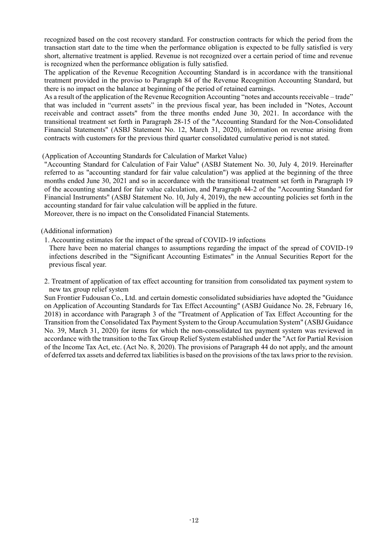recognized based on the cost recovery standard. For construction contracts for which the period from the transaction start date to the time when the performance obligation is expected to be fully satisfied is very short, alternative treatment is applied. Revenue is not recognized over a certain period of time and revenue is recognized when the performance obligation is fully satisfied.

The application of the Revenue Recognition Accounting Standard is in accordance with the transitional treatment provided in the proviso to Paragraph 84 of the Revenue Recognition Accounting Standard, but there is no impact on the balance at beginning of the period of retained earnings.

As a result of the application of the Revenue Recognition Accounting "notes and accounts receivable – trade" that was included in "current assets" in the previous fiscal year, has been included in "Notes, Account receivable and contract assets" from the three months ended June 30, 2021. In accordance with the transitional treatment set forth in Paragraph 28-15 of the "Accounting Standard for the Non-Consolidated Financial Statements" (ASBJ Statement No. 12, March 31, 2020), information on revenue arising from contracts with customers for the previous third quarter consolidated cumulative period is not stated.

## (Application of Accounting Standards for Calculation of Market Value)

"Accounting Standard for Calculation of Fair Value" (ASBJ Statement No. 30, July 4, 2019. Hereinafter referred to as "accounting standard for fair value calculation") was applied at the beginning of the three months ended June 30, 2021 and so in accordance with the transitional treatment set forth in Paragraph 19 of the accounting standard for fair value calculation, and Paragraph 44-2 of the "Accounting Standard for Financial Instruments" (ASBJ Statement No. 10, July 4, 2019), the new accounting policies set forth in the accounting standard for fair value calculation will be applied in the future.

Moreover, there is no impact on the Consolidated Financial Statements.

## <span id="page-14-0"></span>(Additional information)

1. Accounting estimates for the impact of the spread of COVID-19 infections

There have been no material changes to assumptions regarding the impact of the spread of COVID-19 infections described in the "Significant Accounting Estimates" in the Annual Securities Report for the previous fiscal year.

2. Treatment of application of tax effect accounting for transition from consolidated tax payment system to new tax group relief system

Sun Frontier Fudousan Co., Ltd. and certain domestic consolidated subsidiaries have adopted the "Guidance on Application of Accounting Standards for Tax Effect Accounting" (ASBJ Guidance No. 28, February 16, 2018) in accordance with Paragraph 3 of the "Treatment of Application of Tax Effect Accounting for the Transition from the Consolidated Tax Payment System to the Group Accumulation System" (ASBJ Guidance No. 39, March 31, 2020) for items for which the non-consolidated tax payment system was reviewed in accordance with the transition to the Tax Group Relief System established under the "Act for Partial Revision of the Income Tax Act, etc. (Act No. 8, 2020). The provisions of Paragraph 44 do not apply, and the amount of deferred tax assets and deferred tax liabilities is based on the provisions of the tax laws prior to the revision.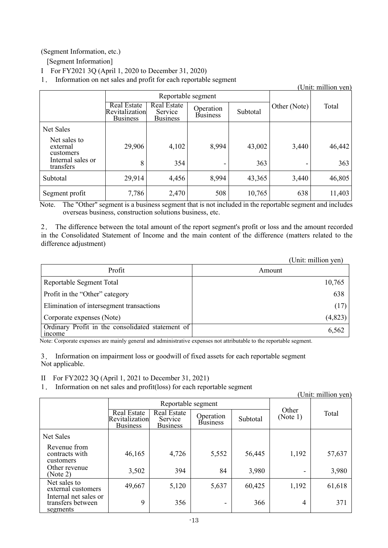<span id="page-15-0"></span>(Segment Information, etc.)

[Segment Information]

I For FY2021 3Q (April 1, 2020 to December 31, 2020)

1. Information on net sales and profit for each reportable segment

|                                       |                                                         |                                                  |                              |          |              | (Unit: million yen) |
|---------------------------------------|---------------------------------------------------------|--------------------------------------------------|------------------------------|----------|--------------|---------------------|
|                                       |                                                         |                                                  | Reportable segment           |          |              |                     |
|                                       | <b>Real Estate</b><br>Revitalization<br><b>Business</b> | <b>Real Estate</b><br>Service<br><b>Business</b> | Operation<br><b>Business</b> | Subtotal | Other (Note) | Total               |
| Net Sales                             |                                                         |                                                  |                              |          |              |                     |
| Net sales to<br>external<br>customers | 29,906                                                  | 4,102                                            | 8,994                        | 43,002   | 3,440        | 46,442              |
| Internal sales or<br>transfers        | 8                                                       | 354                                              | -                            | 363      | -            | 363                 |
| Subtotal                              | 29,914                                                  | 4,456                                            | 8,994                        | 43,365   | 3,440        | 46,805              |
| Segment profit                        | 7,786                                                   | 2,470                                            | 508                          | 10,765   | 638          | 11,403              |

Note. The "Other" segment is a business segment that is not included in the reportable segment and includes overseas business, construction solutions business, etc.

2. The difference between the total amount of the report segment's profit or loss and the amount recorded in the Consolidated Statement of Income and the main content of the difference (matters related to the difference adjustment)

|                                                                  | (Unit: million yen) |
|------------------------------------------------------------------|---------------------|
| Profit                                                           | Amount              |
| Reportable Segment Total                                         | 10,765              |
| Profit in the "Other" category                                   | 638                 |
| Elimination of intersegment transactions                         | (17)                |
| Corporate expenses (Note)                                        | (4,823)             |
| Ordinary Profit in the consolidated statement of<br><i>ncome</i> | 6,562               |

Note: Corporate expenses are mainly general and administrative expenses not attributable to the reportable segment.

3. Information on impairment loss or goodwill of fixed assets for each reportable segment Not applicable.

II For FY2022 3Q (April 1, 2021 to December 31, 2021)

1. Information on net sales and profit(loss) for each reportable segment

|                                                        |                                                  |                                           |                              |          |                   | (Unit: million yen) |
|--------------------------------------------------------|--------------------------------------------------|-------------------------------------------|------------------------------|----------|-------------------|---------------------|
|                                                        |                                                  | Reportable segment                        |                              |          |                   |                     |
|                                                        | Real Estate<br>Revitalization<br><b>Business</b> | Real Estate<br>Service<br><b>Business</b> | Operation<br><b>Business</b> | Subtotal | Other<br>(Note 1) | Total               |
| Net Sales                                              |                                                  |                                           |                              |          |                   |                     |
| Revenue from<br>contracts with<br>customers            | 46,165                                           | 4,726                                     | 5,552                        | 56,445   | 1,192             | 57,637              |
| Other revenue<br>(Note 2)                              | 3,502                                            | 394                                       | 84                           | 3,980    |                   | 3,980               |
| Net sales to<br>external customers                     | 49,667                                           | 5,120                                     | 5,637                        | 60,425   | 1,192             | 61,618              |
| Internal net sales or<br>transfers between<br>segments | 9                                                | 356                                       | -                            | 366      | 4                 | 371                 |